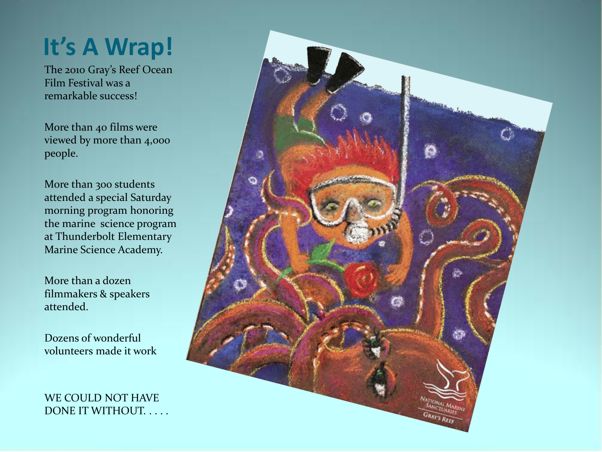#### **It's A Wrap!**

The 2010 Gray's Reef Ocean Film Festival was a remarkable success!

More than 40 films were viewed by more than 4,000 people.

More than 300 students attended a special Saturday morning program honoring the marine science program at Thunderbolt Elementary Marine Science Academy.

More than a dozen filmmakers & speakers attended.

Dozens of wonderful volunteers made it work

WE COULD NOT HAVE DONE IT WITHOUT. . . . .

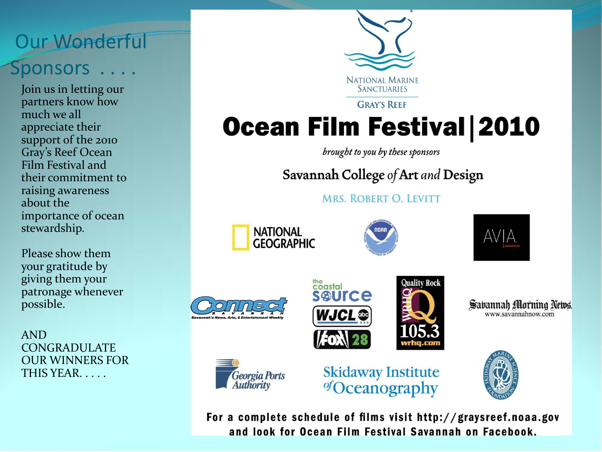#### Our Wonderful Sponsors . . . .

Join us in letting our partners know how much we all appreciate their support of the 2010 Gray's Reef Ocean Film Festival and their commitment to raising awareness about the importance of ocean stewardship.

Please show them your gratitude by giving them your patronage whenever possible.

AND CONGRADULATE OUR WINNERS FOR THIS YEAR. . . . .

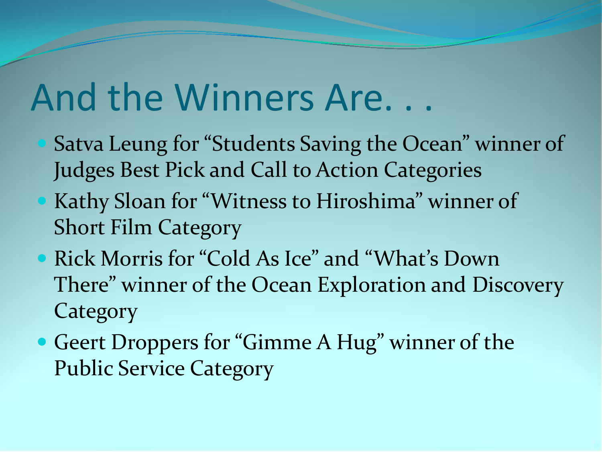## And the Winners Are. . .

- Satva Leung for "Students Saving the Ocean" winner of Judges Best Pick and Call to Action Categories
- Kathy Sloan for "Witness to Hiroshima" winner of Short Film Category
- Rick Morris for "Cold As Ice" and "What's Down There" winner of the Ocean Exploration and Discovery **Category**
- Geert Droppers for "Gimme A Hug" winner of the Public Service Category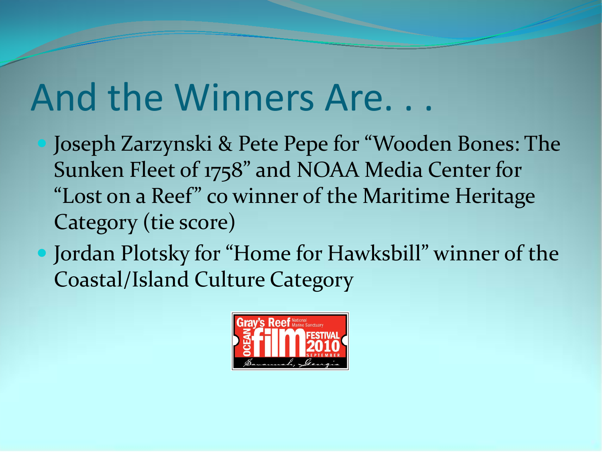## And the Winners Are. . .

- Joseph Zarzynski & Pete Pepe for "Wooden Bones: The Sunken Fleet of 1758" and NOAA Media Center for "Lost on a Reef" co winner of the Maritime Heritage Category (tie score)
- Jordan Plotsky for "Home for Hawksbill" winner of the Coastal/Island Culture Category

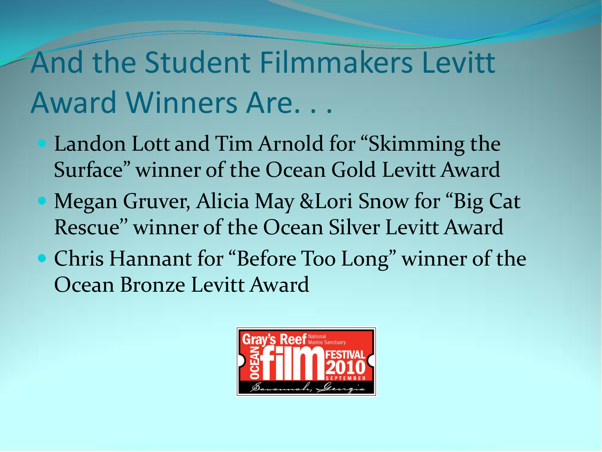### And the Student Filmmakers Levitt Award Winners Are. . .

- **Landon Lott and Tim Arnold for "Skimming the** Surface" winner of the Ocean Gold Levitt Award
	- Megan Gruver, Alicia May &Lori Snow for "Big Cat Rescue'' winner of the Ocean Silver Levitt Award
- Chris Hannant for "Before Too Long" winner of the Ocean Bronze Levitt Award

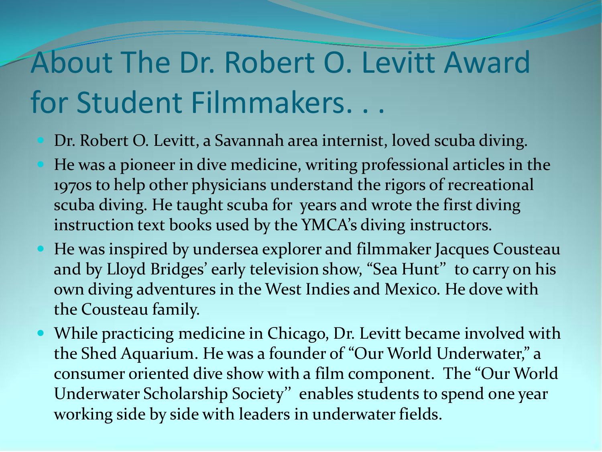## About The Dr. Robert O. Levitt Award for Student Filmmakers. . .

- Dr. Robert O. Levitt, a Savannah area internist, loved scuba diving.
- He was a pioneer in dive medicine, writing professional articles in the 1970s to help other physicians understand the rigors of recreational scuba diving. He taught scuba for years and wrote the first diving instruction text books used by the YMCA's diving instructors.
- He was inspired by undersea explorer and filmmaker Jacques Cousteau and by Lloyd Bridges' early television show, "Sea Hunt'' to carry on his own diving adventures in the West Indies and Mexico. He dove with the Cousteau family.
- While practicing medicine in Chicago, Dr. Levitt became involved with the Shed Aquarium. He was a founder of "Our World Underwater," a consumer oriented dive show with a film component. The "Our World Underwater Scholarship Society'' enables students to spend one year working side by side with leaders in underwater fields.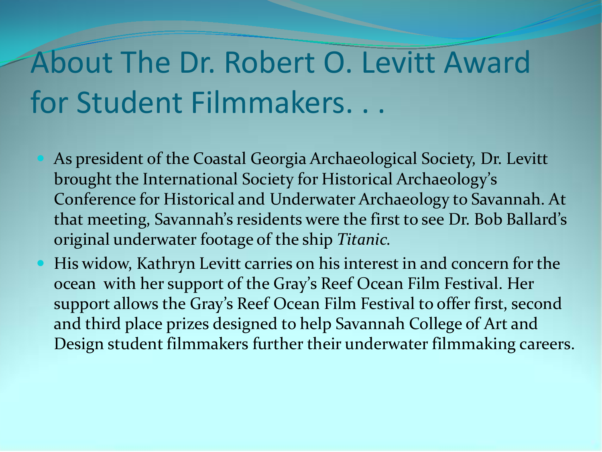### About The Dr. Robert O. Levitt Award for Student Filmmakers. . .

- As president of the Coastal Georgia Archaeological Society, Dr. Levitt brought the International Society for Historical Archaeology's Conference for Historical and Underwater Archaeology to Savannah. At that meeting, Savannah's residents were the first to see Dr. Bob Ballard's original underwater footage of the ship *Titanic.*
- His widow, Kathryn Levitt carries on his interest in and concern for the ocean with her support of the Gray's Reef Ocean Film Festival. Her support allows the Gray's Reef Ocean Film Festival to offer first, second and third place prizes designed to help Savannah College of Art and Design student filmmakers further their underwater filmmaking careers.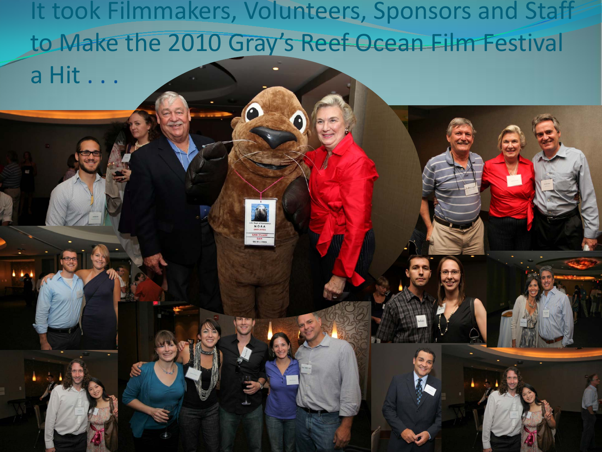It took Filmmakers, Volunteers, Sponsors and Staff to Make the 2010 Gray's Reef Ocean Film Festival a Hit . . .